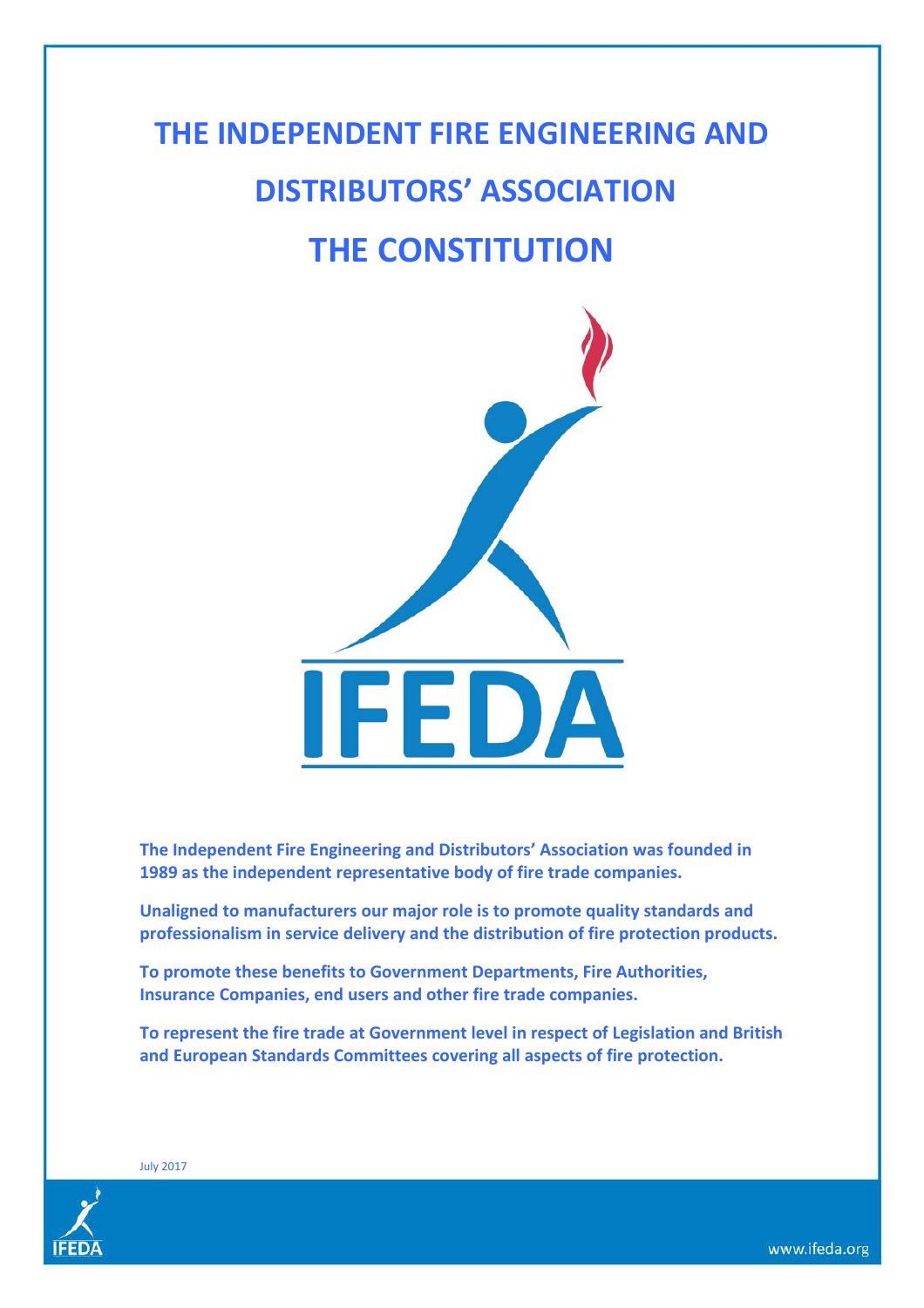# **THE INDEPENDENT FIRE ENGINEERING AND DISTRIBUTORS' ASSOCIATION THE CONSTITUTION**



**The Independent Fire Engineering and Distributors' Association was founded in 1989 as the independent representative body of fire trade companies.**

**Unaligned to manufacturers our major role is to promote quality standards and professionalism in service delivery and the distribution of fire protection products.**

**To promote these benefits to Government Departments, Fire Authorities, Insurance Companies, end users and other fire trade companies.**

**To represent the fire trade at Government level in respect of Legislation and British and European Standards Committees covering all aspects of fire protection.**

July 2017

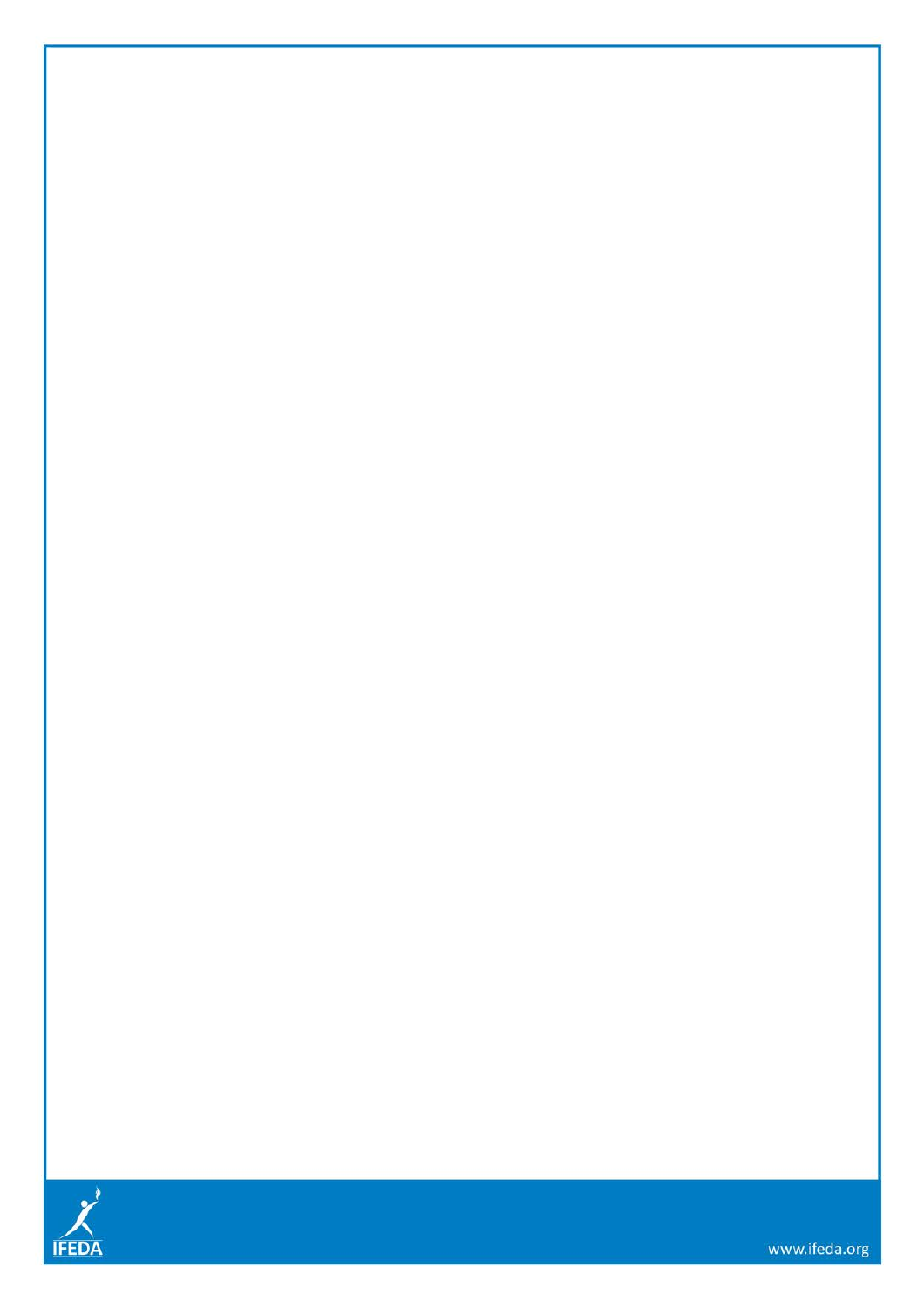

www.ifeda.org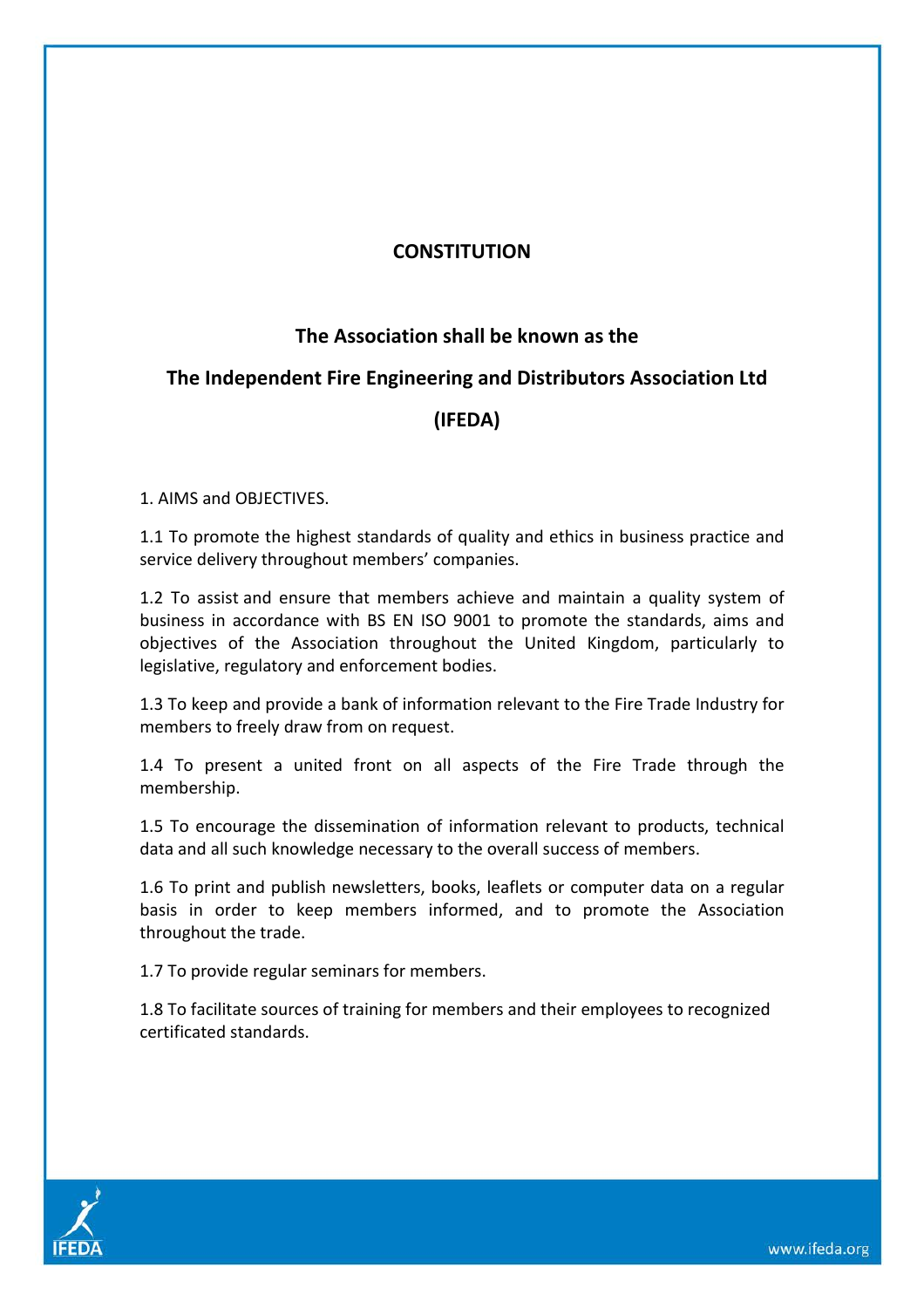# **CONSTITUTION**

# **The Association shall be known as the**

# **The Independent Fire Engineering and Distributors Association Ltd**

## **(IFEDA)**

## 1. AIMS and OBJECTIVES.

1.1 To promote the highest standards of quality and ethics in business practice and service delivery throughout members' companies.

1.2 To assist and ensure that members achieve and maintain a quality system of business in accordance with BS EN ISO 9001 to promote the standards, aims and objectives of the Association throughout the United Kingdom, particularly to legislative, regulatory and enforcement bodies.

1.3 To keep and provide a bank of information relevant to the Fire Trade Industry for members to freely draw from on request.

1.4 To present a united front on all aspects of the Fire Trade through the membership.

1.5 To encourage the dissemination of information relevant to products, technical data and all such knowledge necessary to the overall success of members.

1.6 To print and publish newsletters, books, leaflets or computer data on a regular basis in order to keep members informed, and to promote the Association throughout the trade.

1.7 To provide regular seminars for members.

1.8 To facilitate sources of training for members and their employees to recognized certificated standards.

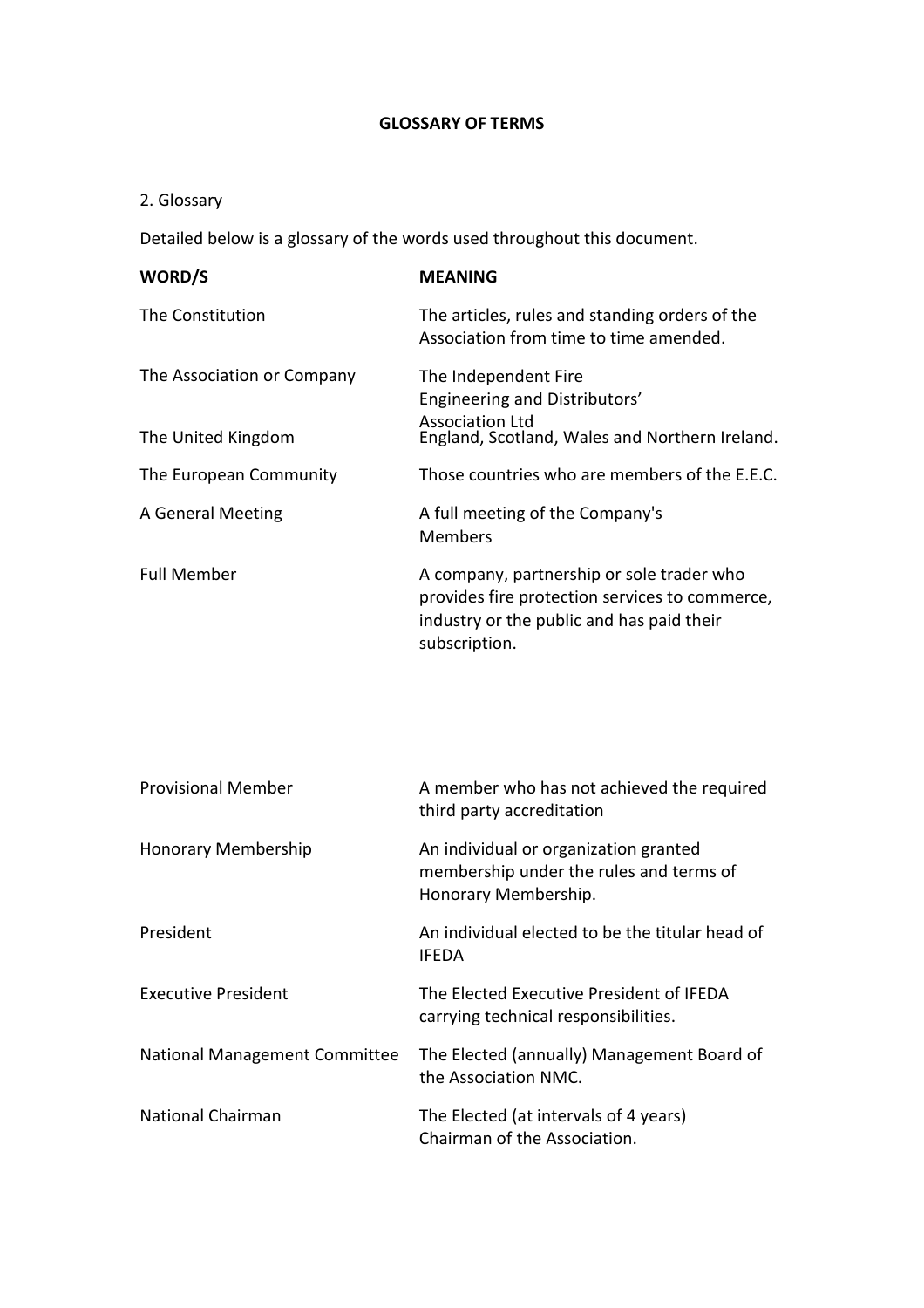## **GLOSSARY OF TERMS**

# 2. Glossary

Detailed below is a glossary of the words used throughout this document.

| WORD/S                     | <b>MEANING</b>                                                                                                                                            |
|----------------------------|-----------------------------------------------------------------------------------------------------------------------------------------------------------|
| The Constitution           | The articles, rules and standing orders of the<br>Association from time to time amended.                                                                  |
| The Association or Company | The Independent Fire<br>Engineering and Distributors'                                                                                                     |
| The United Kingdom         | Association Ltd<br>England, Scotland, Wales and Northern Ireland.                                                                                         |
| The European Community     | Those countries who are members of the E.E.C.                                                                                                             |
| A General Meeting          | A full meeting of the Company's<br><b>Members</b>                                                                                                         |
| <b>Full Member</b>         | A company, partnership or sole trader who<br>provides fire protection services to commerce,<br>industry or the public and has paid their<br>subscription. |

| <b>Provisional Member</b>     | A member who has not achieved the required<br>third party accreditation                                  |
|-------------------------------|----------------------------------------------------------------------------------------------------------|
| Honorary Membership           | An individual or organization granted<br>membership under the rules and terms of<br>Honorary Membership. |
| President                     | An individual elected to be the titular head of<br>IFEDA                                                 |
| Executive President           | The Elected Executive President of IFEDA<br>carrying technical responsibilities.                         |
| National Management Committee | The Elected (annually) Management Board of<br>the Association NMC.                                       |
| <b>National Chairman</b>      | The Elected (at intervals of 4 years)<br>Chairman of the Association.                                    |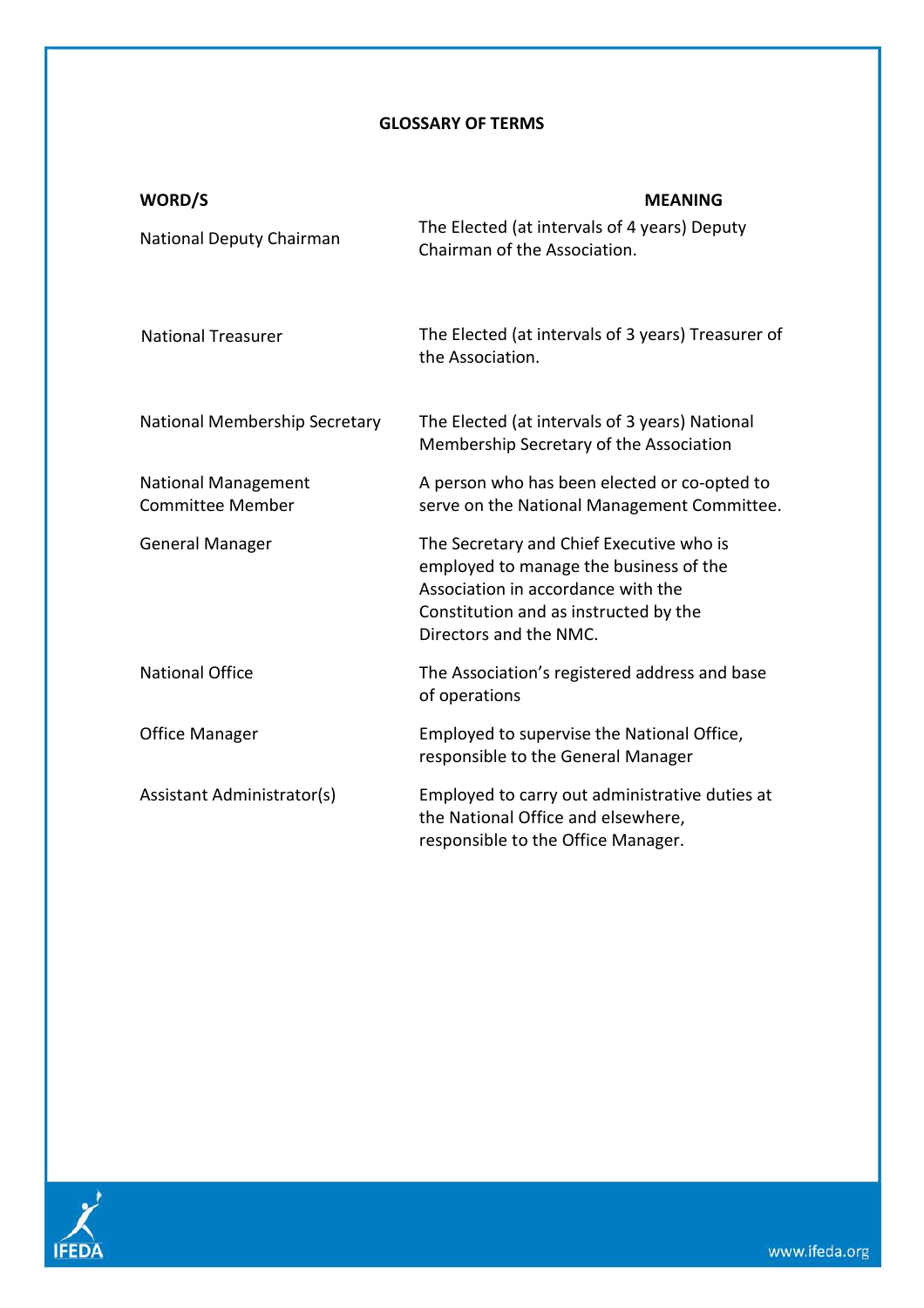## **GLOSSARY OF TERMS**

| WORD/S                                                | <b>MEANING</b>                                                                                                                                                                              |
|-------------------------------------------------------|---------------------------------------------------------------------------------------------------------------------------------------------------------------------------------------------|
| National Deputy Chairman                              | The Elected (at intervals of 4 years) Deputy<br>Chairman of the Association.                                                                                                                |
| <b>National Treasurer</b>                             | The Elected (at intervals of 3 years) Treasurer of<br>the Association.                                                                                                                      |
| National Membership Secretary                         | The Elected (at intervals of 3 years) National<br>Membership Secretary of the Association                                                                                                   |
| <b>National Management</b><br><b>Committee Member</b> | A person who has been elected or co-opted to<br>serve on the National Management Committee.                                                                                                 |
| <b>General Manager</b>                                | The Secretary and Chief Executive who is<br>employed to manage the business of the<br>Association in accordance with the<br>Constitution and as instructed by the<br>Directors and the NMC. |
| <b>National Office</b>                                | The Association's registered address and base<br>of operations                                                                                                                              |
| <b>Office Manager</b>                                 | Employed to supervise the National Office,<br>responsible to the General Manager                                                                                                            |
| Assistant Administrator(s)                            | Employed to carry out administrative duties at<br>the National Office and elsewhere,<br>responsible to the Office Manager.                                                                  |

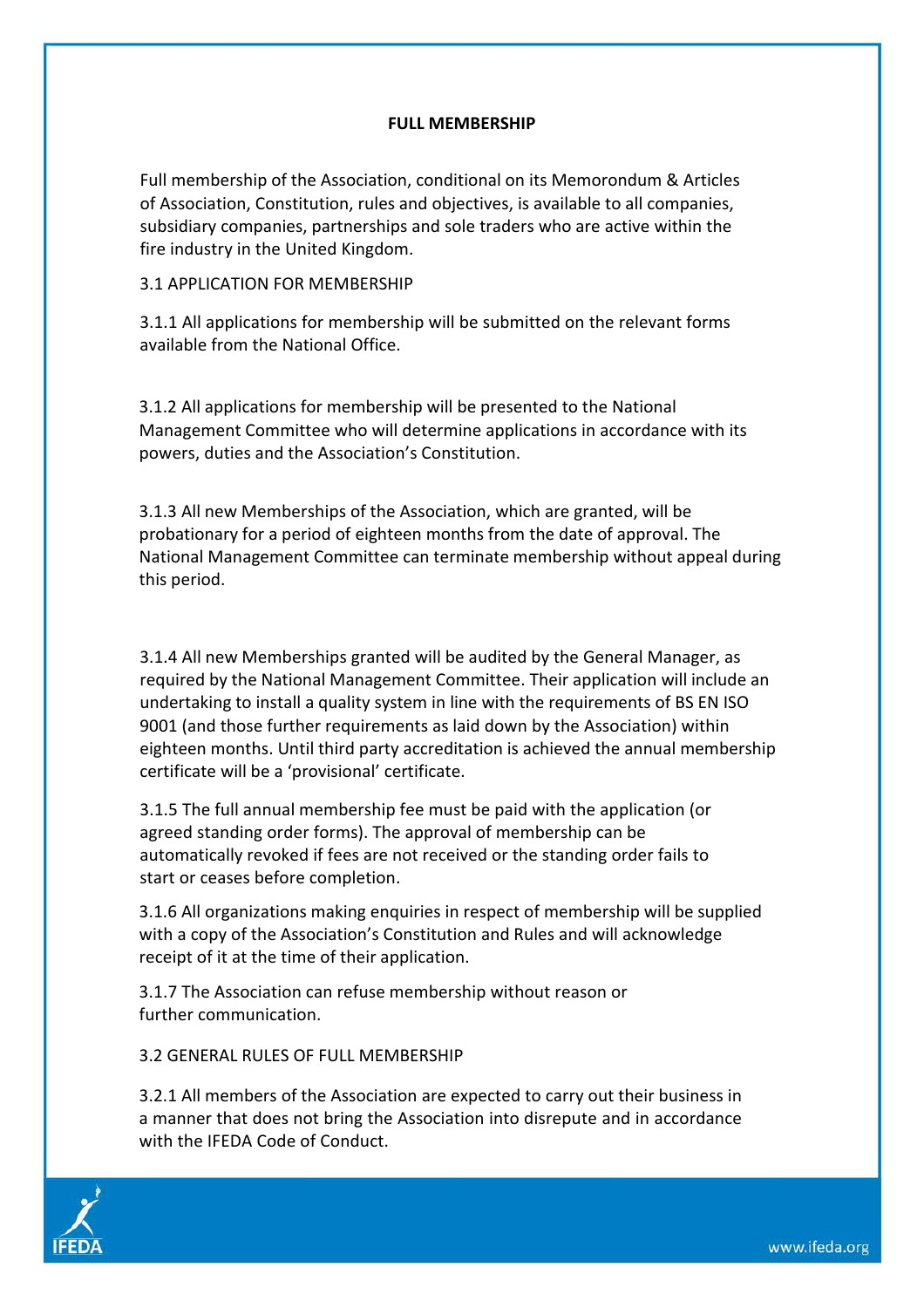## **FULL MEMBERSHIP**

Full membership of the Association, conditional on its Memorondum & Articles of Association, Constitution, rules and objectives, is available to all companies, subsidiary companies, partnerships and sole traders who are active within the fire industry in the United Kingdom.

## 3.1 APPLICATION FOR MEMBERSHIP

3.1.1 All applications for membership will be submitted on the relevant forms available from the National Office.

3.1.2 All applications for membership will be presented to the National Management Committee who will determine applications in accordance with its powers, duties and the Association's Constitution.

3.1.3 All new Memberships of the Association, which are granted, will be probationary for a period of eighteen months from the date of approval. The National Management Committee can terminate membership without appeal during this period.

3.1.4 All new Memberships granted will be audited by the General Manager, as required by the National Management Committee. Their application will include an undertaking to install a quality system in line with the requirements of BS EN ISO 9001 (and those further requirements as laid down by the Association) within eighteen months. Until third party accreditation is achieved the annual membership certificate will be a 'provisional' certificate.

3.1.5 The full annual membership fee must be paid with the application (or agreed standing order forms). The approval of membership can be automatically revoked if fees are not received or the standing order fails to start or ceases before completion.

3.1.6 All organizations making enquiries in respect of membership will be supplied with a copy of the Association's Constitution and Rules and will acknowledge receipt of it at the time of their application.

3.1.7 The Association can refuse membership without reason or further communication.

3.2 GENERAL RULES OF FULL MEMBERSHIP

3.2.1 All members of the Association are expected to carry out their business in a manner that does not bring the Association into disrepute and in accordance with the IFEDA Code of Conduct.

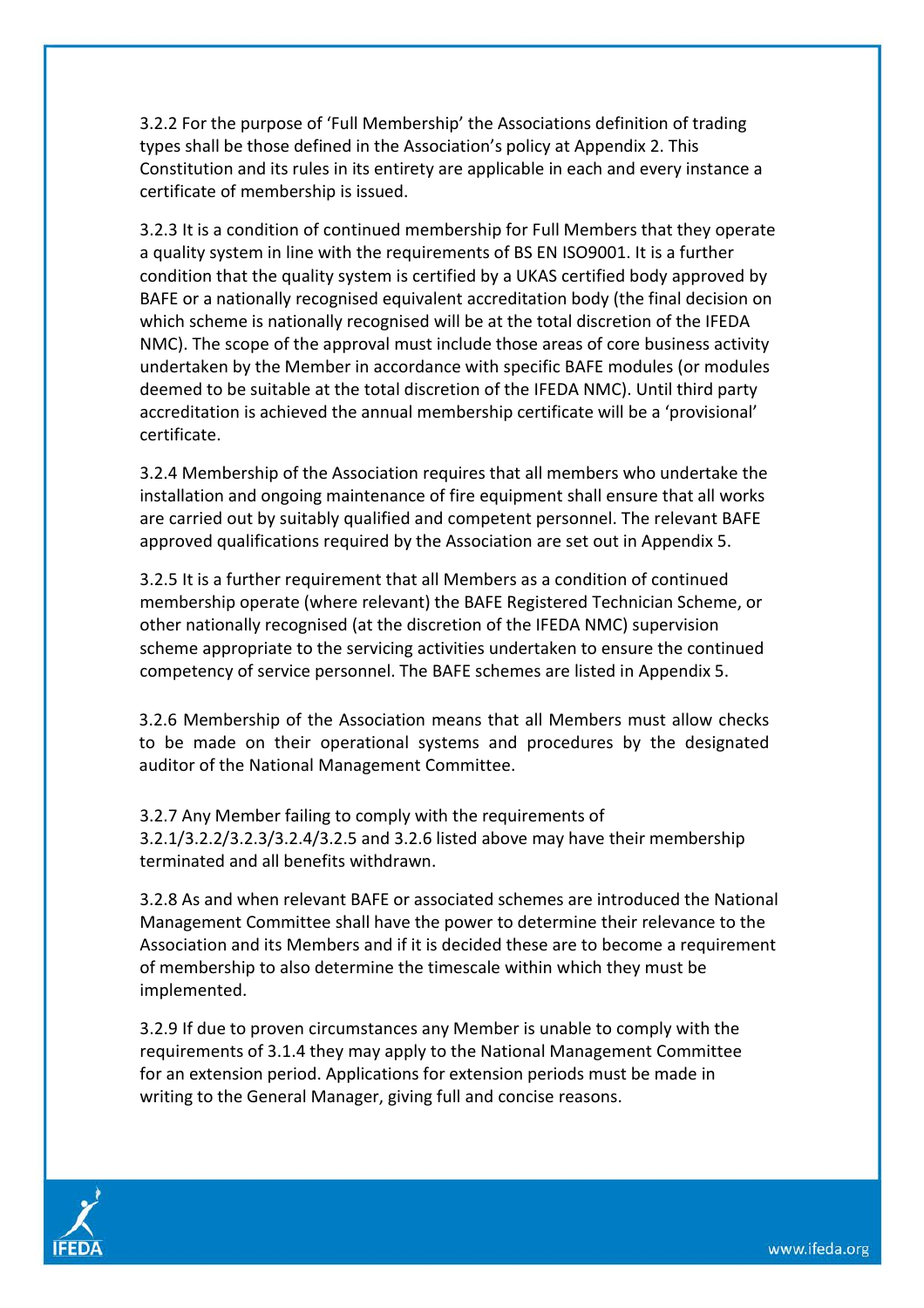3.2.2 For the purpose of 'Full Membership' the Associations definition of trading types shall be those defined in the Association's policy at Appendix 2. This Constitution and its rules in its entirety are applicable in each and every instance a certificate of membership is issued.

3.2.3 It is a condition of continued membership for Full Members that they operate a quality system in line with the requirements of BS EN ISO9001. It is a further condition that the quality system is certified by a UKAS certified body approved by BAFE or a nationally recognised equivalent accreditation body (the final decision on which scheme is nationally recognised will be at the total discretion of the IFEDA NMC). The scope of the approval must include those areas of core business activity undertaken by the Member in accordance with specific BAFE modules (or modules deemed to be suitable at the total discretion of the IFEDA NMC). Until third party accreditation is achieved the annual membership certificate will be a 'provisional' certificate.

3.2.4 Membership of the Association requires that all members who undertake the installation and ongoing maintenance of fire equipment shall ensure that all works are carried out by suitably qualified and competent personnel. The relevant BAFE approved qualifications required by the Association are set out in Appendix 5.

3.2.5 It is a further requirement that all Members as a condition of continued membership operate (where relevant) the BAFE Registered Technician Scheme, or other nationally recognised (at the discretion of the IFEDA NMC) supervision scheme appropriate to the servicing activities undertaken to ensure the continued competency of service personnel. The BAFE schemes are listed in Appendix 5.

3.2.6 Membership of the Association means that all Members must allow checks to be made on their operational systems and procedures by the designated auditor of the National Management Committee.

3.2.7 Any Member failing to comply with the requirements of 3.2.1/3.2.2/3.2.3/3.2.4/3.2.5 and 3.2.6 listed above may have their membership terminated and all benefits withdrawn.

3.2.8 As and when relevant BAFE or associated schemes are introduced the National Management Committee shall have the power to determine their relevance to the Association and its Members and if it is decided these are to become a requirement of membership to also determine the timescale within which they must be implemented.

3.2.9 If due to proven circumstances any Member is unable to comply with the requirements of 3.1.4 they may apply to the National Management Committee for an extension period. Applications for extension periods must be made in writing to the General Manager, giving full and concise reasons.

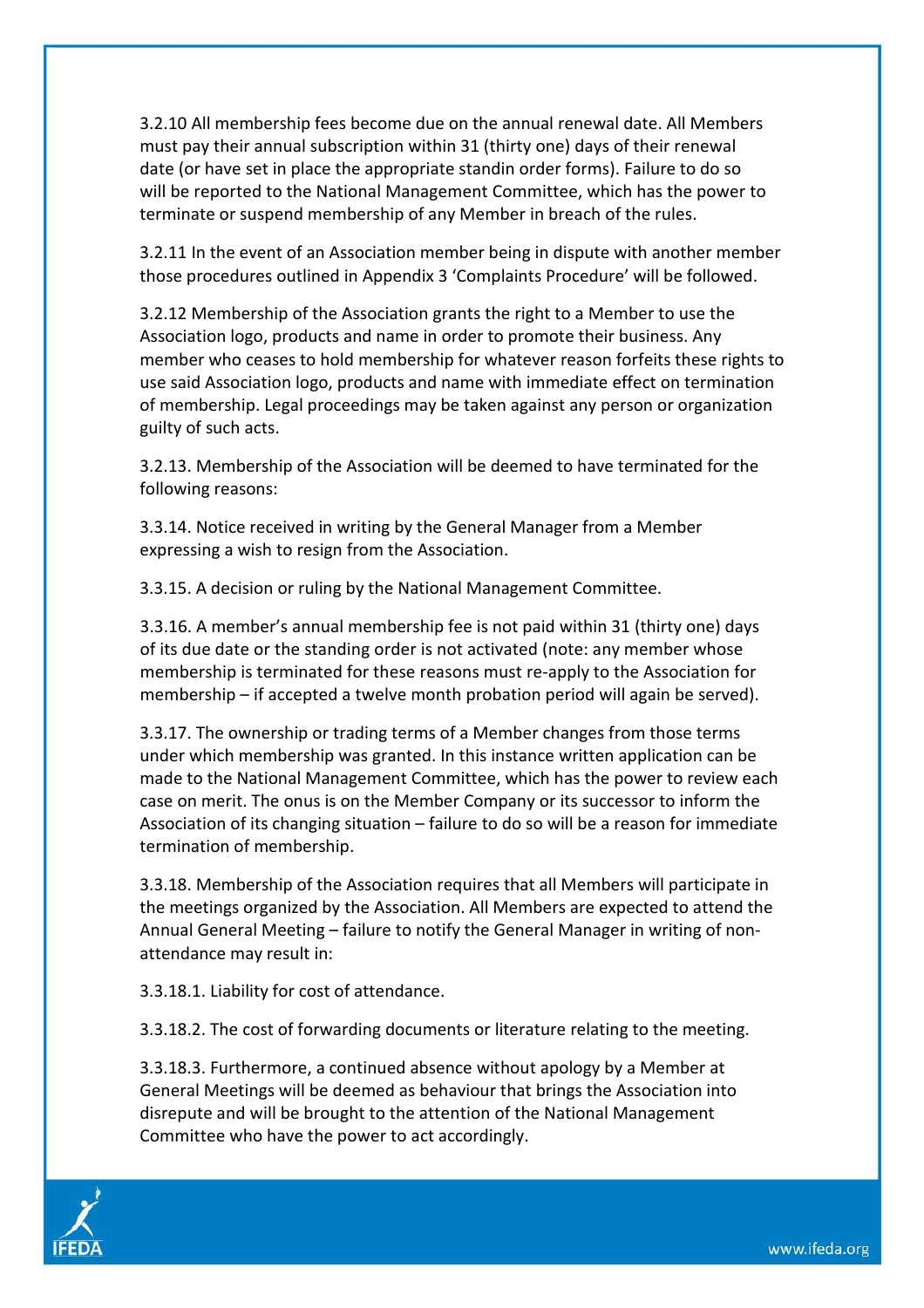3.2.10 All membership fees become due on the annual renewal date. All Members must pay their annual subscription within 31 (thirty one) days of their renewal date (or have set in place the appropriate standin order forms). Failure to do so will be reported to the National Management Committee, which has the power to terminate or suspend membership of any Member in breach of the rules.

3.2.11 In the event of an Association member being in dispute with another member those procedures outlined in Appendix 3 'Complaints Procedure' will be followed.

3.2.12 Membership of the Association grants the right to a Member to use the Association logo, products and name in order to promote their business. Any member who ceases to hold membership for whatever reason forfeits these rights to use said Association logo, products and name with immediate effect on termination of membership. Legal proceedings may be taken against any person or organization guilty of such acts.

3.2.13. Membership of the Association will be deemed to have terminated for the following reasons:

3.3.14. Notice received in writing by the General Manager from a Member expressing a wish to resign from the Association.

3.3.15. A decision or ruling by the National Management Committee.

3.3.16. A member's annual membership fee is not paid within 31 (thirty one) days of its due date or the standing order is not activated (note: any member whose membership is terminated for these reasons must re-apply to the Association for membership – if accepted a twelve month probation period will again be served).

3.3.17. The ownership or trading terms of a Member changes from those terms under which membership was granted. In this instance written application can be made to the National Management Committee, which has the power to review each case on merit. The onus is on the Member Company or its successor to inform the Association of its changing situation – failure to do so will be a reason for immediate termination of membership.

3.3.18. Membership of the Association requires that all Members will participate in the meetings organized by the Association. All Members are expected to attend the Annual General Meeting – failure to notify the General Manager in writing of nonattendance may result in:

3.3.18.1. Liability for cost of attendance.

3.3.18.2. The cost of forwarding documents or literature relating to the meeting.

3.3.18.3. Furthermore, a continued absence without apology by a Member at General Meetings will be deemed as behaviour that brings the Association into disrepute and will be brought to the attention of the National Management Committee who have the power to act accordingly.

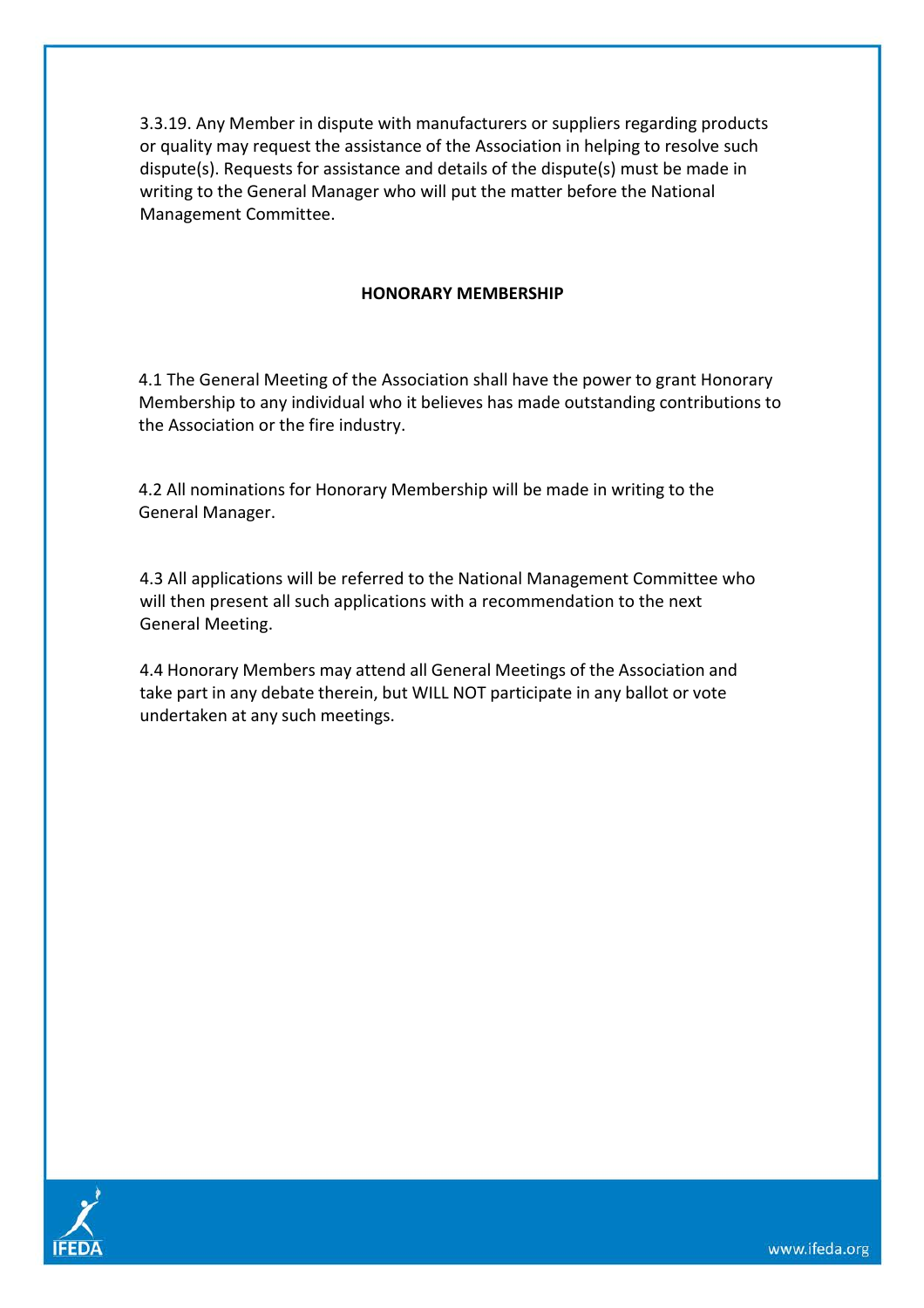3.3.19. Any Member in dispute with manufacturers or suppliers regarding products or quality may request the assistance of the Association in helping to resolve such dispute(s). Requests for assistance and details of the dispute(s) must be made in writing to the General Manager who will put the matter before the National Management Committee.

## **HONORARY MEMBERSHIP**

4.1 The General Meeting of the Association shall have the power to grant Honorary Membership to any individual who it believes has made outstanding contributions to the Association or the fire industry.

4.2 All nominations for Honorary Membership will be made in writing to the General Manager.

4.3 All applications will be referred to the National Management Committee who will then present all such applications with a recommendation to the next General Meeting.

4.4 Honorary Members may attend all General Meetings of the Association and take part in any debate therein, but WILL NOT participate in any ballot or vote undertaken at any such meetings.

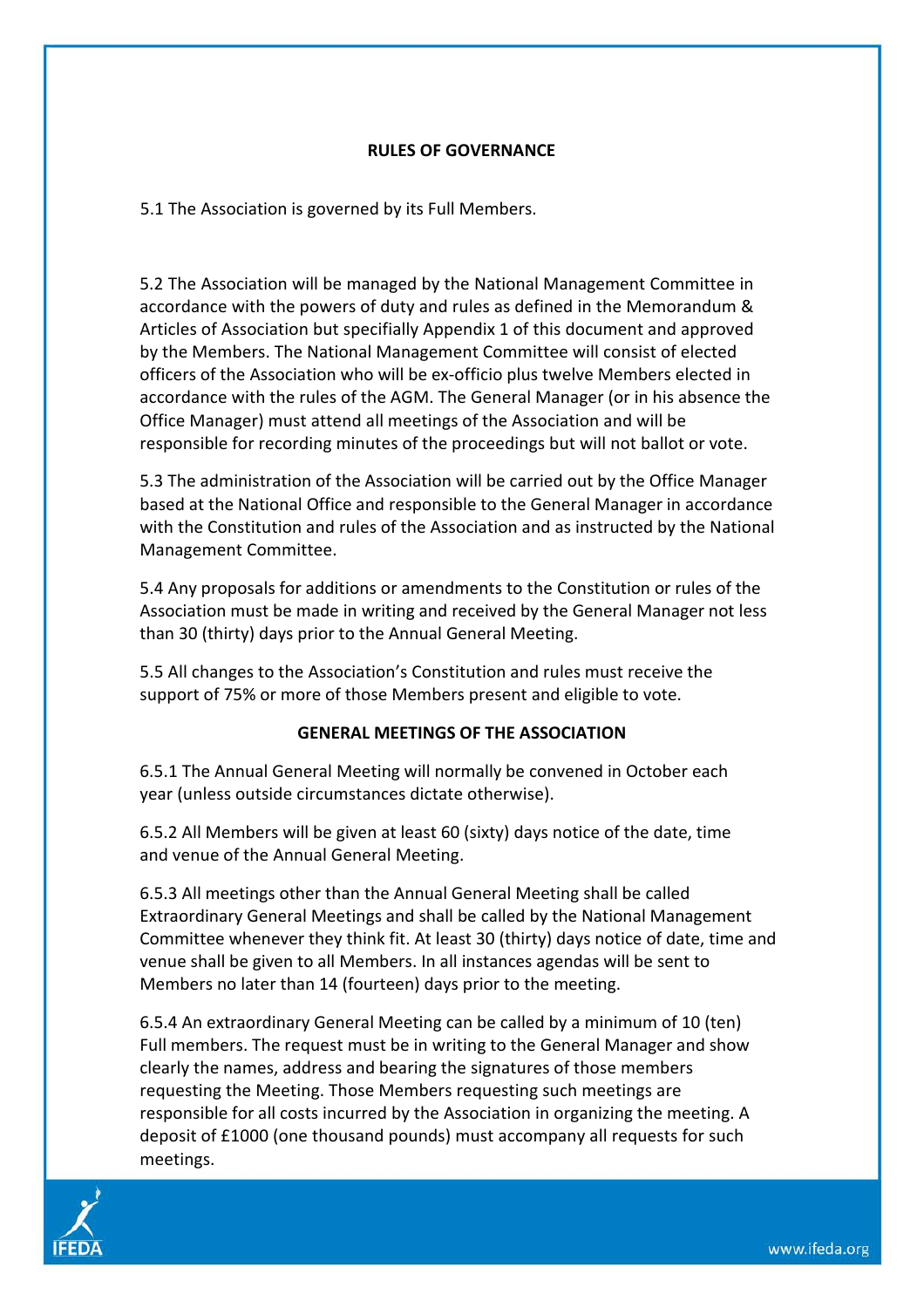## **RULES OF GOVERNANCE**

5.1 The Association is governed by its Full Members.

5.2 The Association will be managed by the National Management Committee in accordance with the powers of duty and rules as defined in the Memorandum & Articles of Association but specifially Appendix 1 of this document and approved by the Members. The National Management Committee will consist of elected officers of the Association who will be ex-officio plus twelve Members elected in accordance with the rules of the AGM. The General Manager (or in his absence the Office Manager) must attend all meetings of the Association and will be responsible for recording minutes of the proceedings but will not ballot or vote.

5.3 The administration of the Association will be carried out by the Office Manager based at the National Office and responsible to the General Manager in accordance with the Constitution and rules of the Association and as instructed by the National Management Committee.

5.4 Any proposals for additions or amendments to the Constitution or rules of the Association must be made in writing and received by the General Manager not less than 30 (thirty) days prior to the Annual General Meeting.

5.5 All changes to the Association's Constitution and rules must receive the support of 75% or more of those Members present and eligible to vote.

## **GENERAL MEETINGS OF THE ASSOCIATION**

6.5.1 The Annual General Meeting will normally be convened in October each year (unless outside circumstances dictate otherwise).

6.5.2 All Members will be given at least 60 (sixty) days notice of the date, time and venue of the Annual General Meeting.

6.5.3 All meetings other than the Annual General Meeting shall be called Extraordinary General Meetings and shall be called by the National Management Committee whenever they think fit. At least 30 (thirty) days notice of date, time and venue shall be given to all Members. In all instances agendas will be sent to Members no later than 14 (fourteen) days prior to the meeting.

6.5.4 An extraordinary General Meeting can be called by a minimum of 10 (ten) Full members. The request must be in writing to the General Manager and show clearly the names, address and bearing the signatures of those members requesting the Meeting. Those Members requesting such meetings are responsible for all costs incurred by the Association in organizing the meeting. A deposit of £1000 (one thousand pounds) must accompany all requests for such meetings.

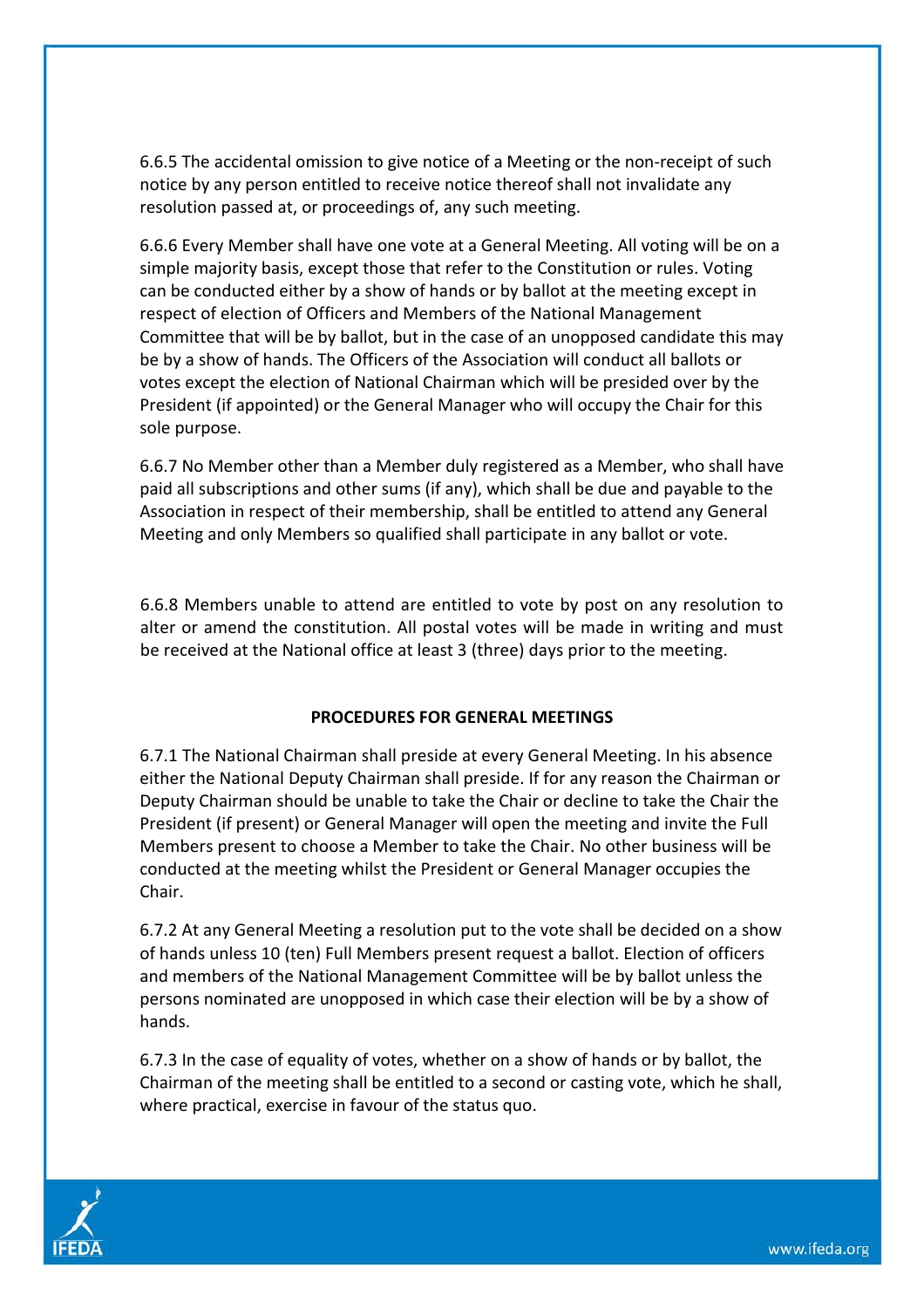6.6.5 The accidental omission to give notice of a Meeting or the non-receipt of such notice by any person entitled to receive notice thereof shall not invalidate any resolution passed at, or proceedings of, any such meeting.

6.6.6 Every Member shall have one vote at a General Meeting. All voting will be on a simple majority basis, except those that refer to the Constitution or rules. Voting can be conducted either by a show of hands or by ballot at the meeting except in respect of election of Officers and Members of the National Management Committee that will be by ballot, but in the case of an unopposed candidate this may be by a show of hands. The Officers of the Association will conduct all ballots or votes except the election of National Chairman which will be presided over by the President (if appointed) or the General Manager who will occupy the Chair for this sole purpose.

6.6.7 No Member other than a Member duly registered as a Member, who shall have paid all subscriptions and other sums (if any), which shall be due and payable to the Association in respect of their membership, shall be entitled to attend any General Meeting and only Members so qualified shall participate in any ballot or vote.

6.6.8 Members unable to attend are entitled to vote by post on any resolution to alter or amend the constitution. All postal votes will be made in writing and must be received at the National office at least 3 (three) days prior to the meeting.

## **PROCEDURES FOR GENERAL MEETINGS**

6.7.1 The National Chairman shall preside at every General Meeting. In his absence either the National Deputy Chairman shall preside. If for any reason the Chairman or Deputy Chairman should be unable to take the Chair or decline to take the Chair the President (if present) or General Manager will open the meeting and invite the Full Members present to choose a Member to take the Chair. No other business will be conducted at the meeting whilst the President or General Manager occupies the Chair.

6.7.2 At any General Meeting a resolution put to the vote shall be decided on a show of hands unless 10 (ten) Full Members present request a ballot. Election of officers and members of the National Management Committee will be by ballot unless the persons nominated are unopposed in which case their election will be by a show of hands.

6.7.3 In the case of equality of votes, whether on a show of hands or by ballot, the Chairman of the meeting shall be entitled to a second or casting vote, which he shall, where practical, exercise in favour of the status quo.

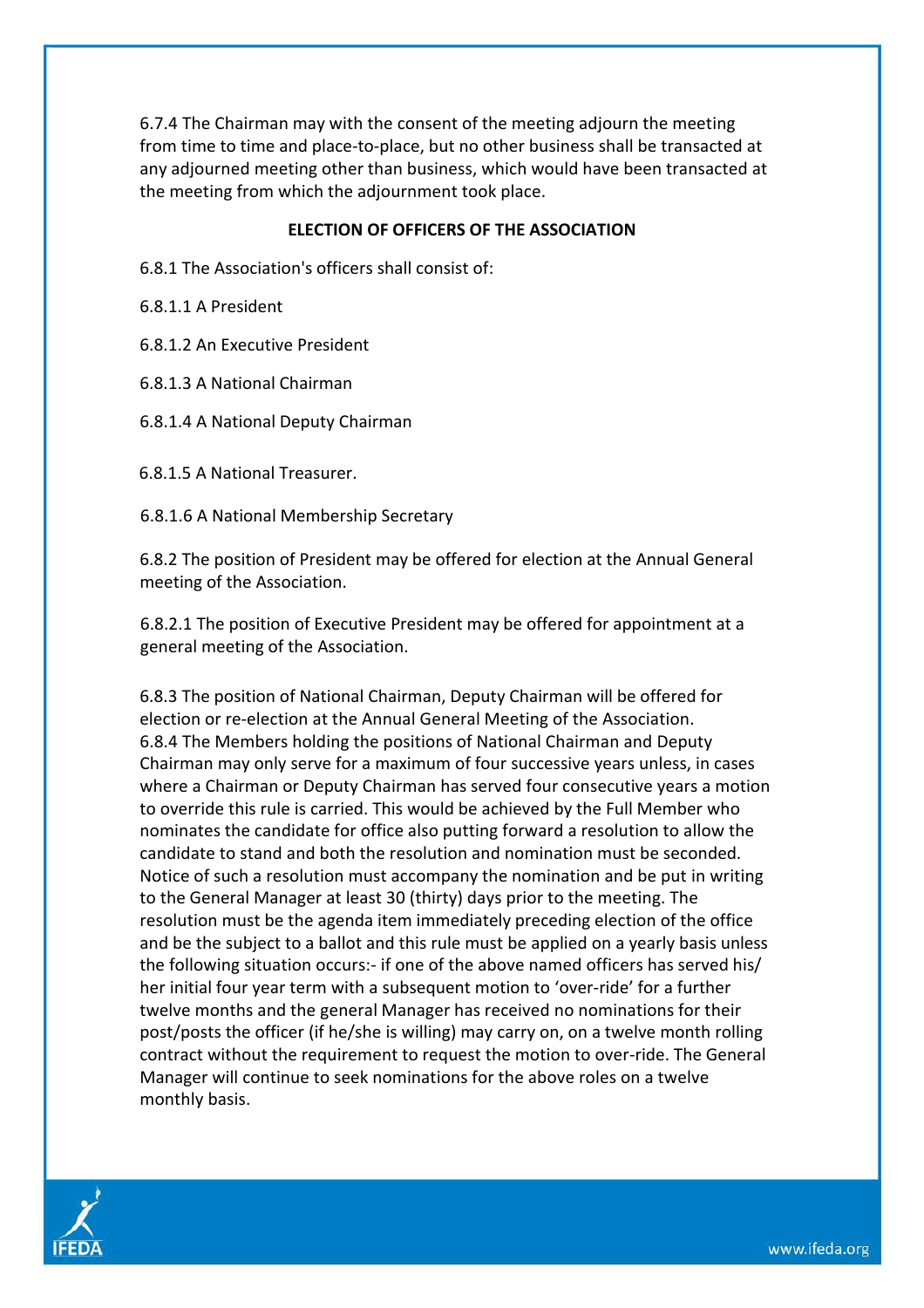6.7.4 The Chairman may with the consent of the meeting adjourn the meeting from time to time and place-to-place, but no other business shall be transacted at any adjourned meeting other than business, which would have been transacted at the meeting from which the adjournment took place.

## **ELECTION OF OFFICERS OF THE ASSOCIATION**

6.8.1 The Association's officers shall consist of:

6.8.1.1 A President

6.8.1.2 An Executive President

6.8.1.3 A National Chairman

6.8.1.4 A National Deputy Chairman

6.8.1.5 A National Treasurer.

6.8.1.6 A National Membership Secretary

6.8.2 The position of President may be offered for election at the Annual General meeting of the Association.

6.8.2.1 The position of Executive President may be offered for appointment at a general meeting of the Association.

6.8.3 The position of National Chairman, Deputy Chairman will be offered for election or re-election at the Annual General Meeting of the Association. 6.8.4 The Members holding the positions of National Chairman and Deputy Chairman may only serve for a maximum of four successive years unless, in cases where a Chairman or Deputy Chairman has served four consecutive years a motion to override this rule is carried. This would be achieved by the Full Member who nominates the candidate for office also putting forward a resolution to allow the candidate to stand and both the resolution and nomination must be seconded. Notice of such a resolution must accompany the nomination and be put in writing to the General Manager at least 30 (thirty) days prior to the meeting. The resolution must be the agenda item immediately preceding election of the office and be the subject to a ballot and this rule must be applied on a yearly basis unless the following situation occurs:- if one of the above named officers has served his/ her initial four year term with a subsequent motion to 'over-ride' for a further twelve months and the general Manager has received no nominations for their post/posts the officer (if he/she is willing) may carry on, on a twelve month rolling contract without the requirement to request the motion to over-ride. The General Manager will continue to seek nominations for the above roles on a twelve monthly basis.

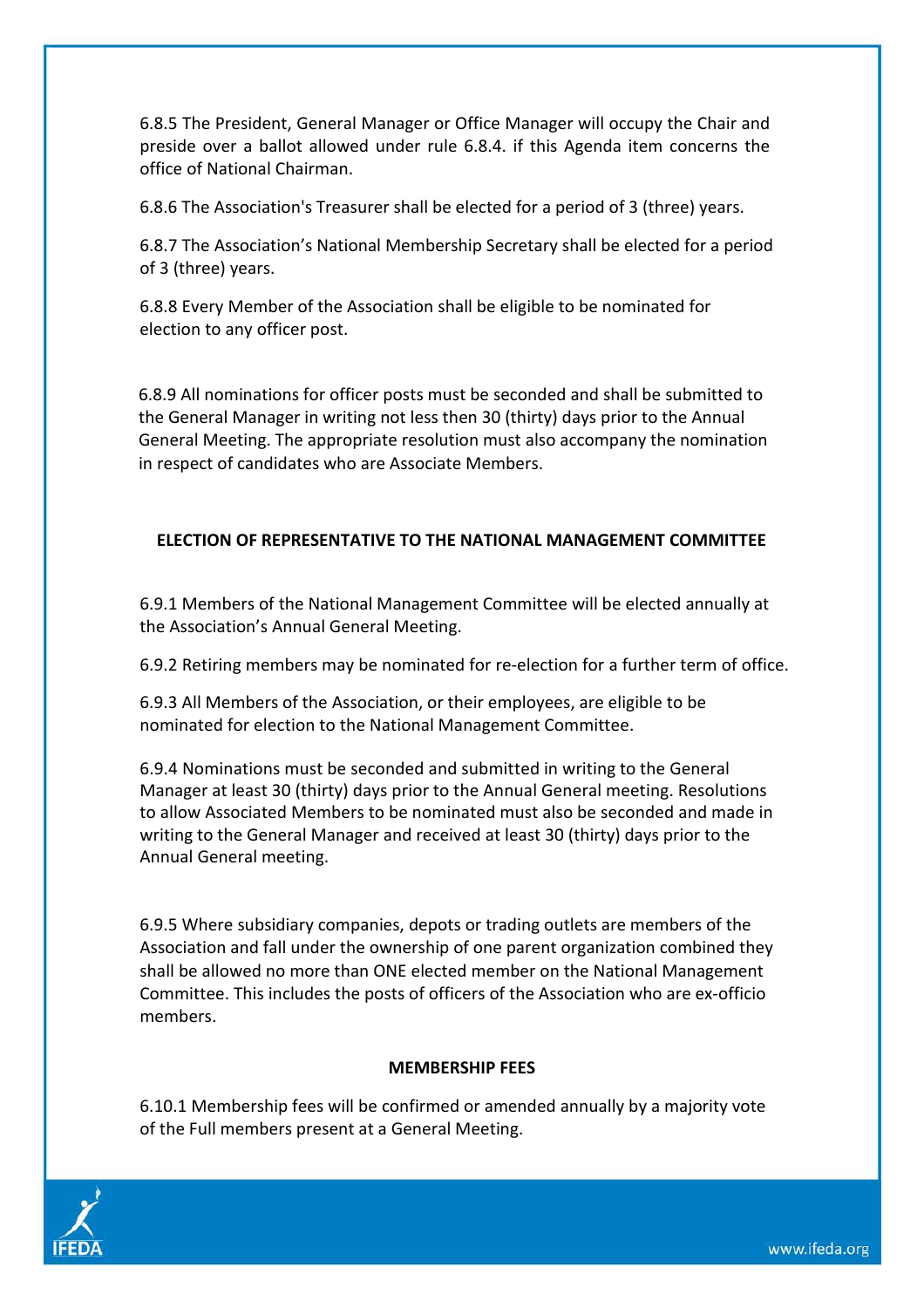6.8.5 The President, General Manager or Office Manager will occupy the Chair and preside over a ballot allowed under rule 6.8.4. if this Agenda item concerns the office of National Chairman.

6.8.6 The Association's Treasurer shall be elected for a period of 3 (three) years.

6.8.7 The Association's National Membership Secretary shall be elected for a period of 3 (three) years.

6.8.8 Every Member of the Association shall be eligible to be nominated for election to any officer post.

6.8.9 All nominations for officer posts must be seconded and shall be submitted to the General Manager in writing not less then 30 (thirty) days prior to the Annual General Meeting. The appropriate resolution must also accompany the nomination in respect of candidates who are Associate Members.

## **ELECTION OF REPRESENTATIVE TO THE NATIONAL MANAGEMENT COMMITTEE**

6.9.1 Members of the National Management Committee will be elected annually at the Association's Annual General Meeting.

6.9.2 Retiring members may be nominated for re-election for a further term of office.

6.9.3 All Members of the Association, or their employees, are eligible to be nominated for election to the National Management Committee.

6.9.4 Nominations must be seconded and submitted in writing to the General Manager at least 30 (thirty) days prior to the Annual General meeting. Resolutions to allow Associated Members to be nominated must also be seconded and made in writing to the General Manager and received at least 30 (thirty) days prior to the Annual General meeting.

6.9.5 Where subsidiary companies, depots or trading outlets are members of the Association and fall under the ownership of one parent organization combined they shall be allowed no more than ONE elected member on the National Management Committee. This includes the posts of officers of the Association who are ex-officio members.

## **MEMBERSHIP FEES**

6.10.1 Membership fees will be confirmed or amended annually by a majority vote of the Full members present at a General Meeting.

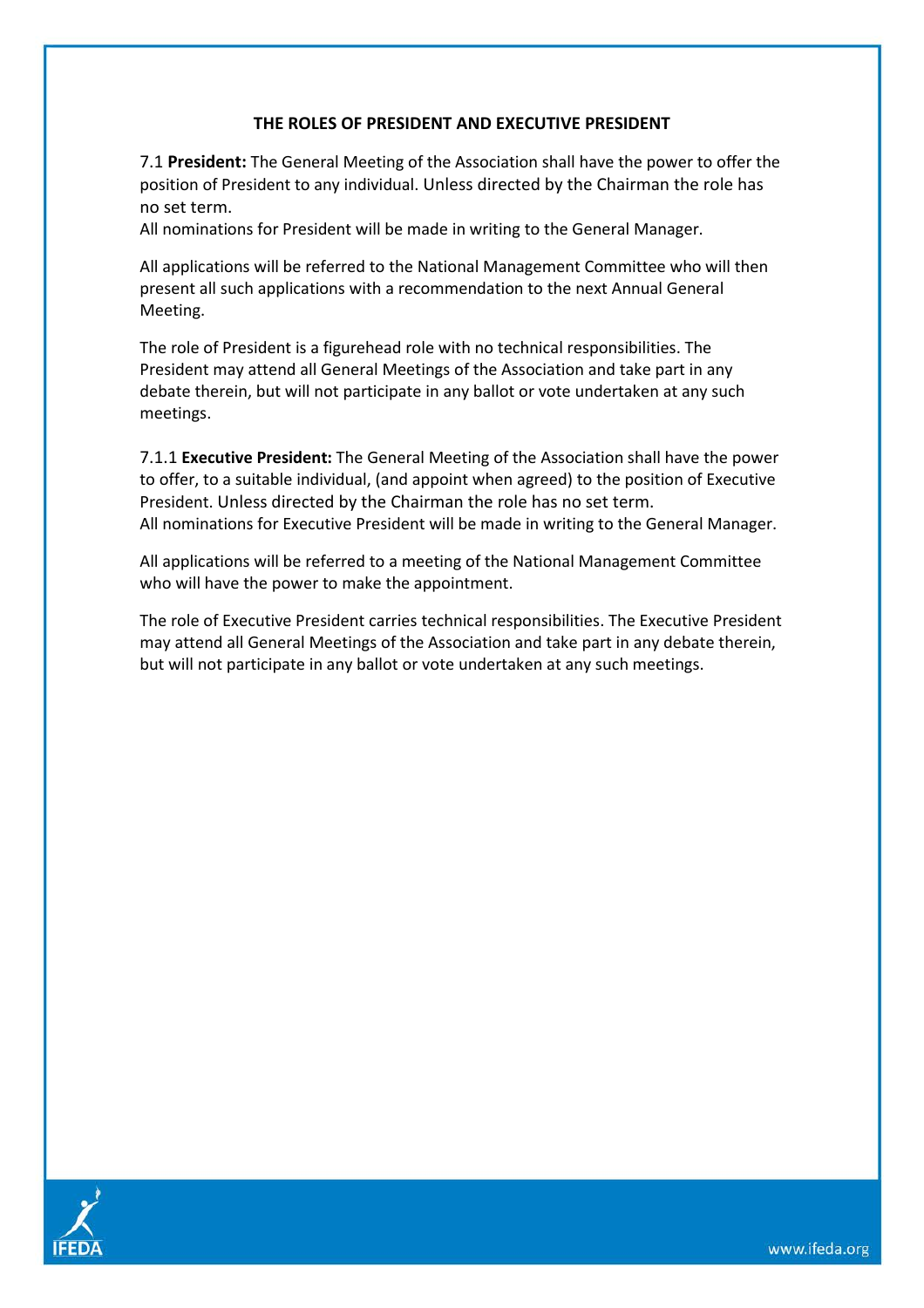## **THE ROLES OF PRESIDENT AND EXECUTIVE PRESIDENT**

7.1 **President:** The General Meeting of the Association shall have the power to offer the position of President to any individual. Unless directed by the Chairman the role has no set term.

All nominations for President will be made in writing to the General Manager.

All applications will be referred to the National Management Committee who will then present all such applications with a recommendation to the next Annual General Meeting.

The role of President is a figurehead role with no technical responsibilities. The President may attend all General Meetings of the Association and take part in any debate therein, but will not participate in any ballot or vote undertaken at any such meetings.

7.1.1 **Executive President:** The General Meeting of the Association shall have the power to offer, to a suitable individual, (and appoint when agreed) to the position of Executive President. Unless directed by the Chairman the role has no set term. All nominations for Executive President will be made in writing to the General Manager.

All applications will be referred to a meeting of the National Management Committee who will have the power to make the appointment.

The role of Executive President carries technical responsibilities. The Executive President may attend all General Meetings of the Association and take part in any debate therein, but will not participate in any ballot or vote undertaken at any such meetings.

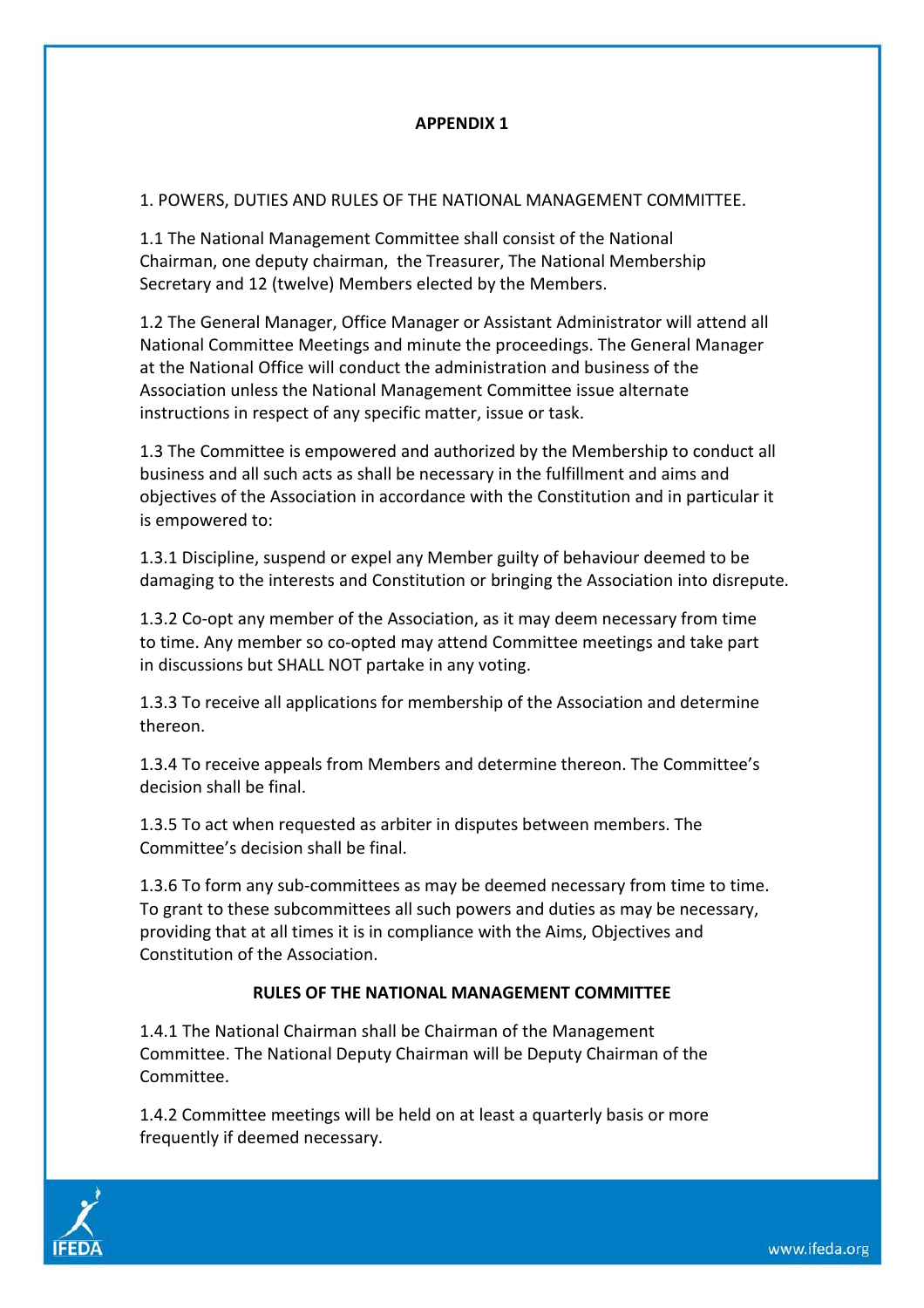## **APPENDIX 1**

## 1. POWERS, DUTIES AND RULES OF THE NATIONAL MANAGEMENT COMMITTEE.

1.1 The National Management Committee shall consist of the National Chairman, one deputy chairman, the Treasurer, The National Membership Secretary and 12 (twelve) Members elected by the Members.

1.2 The General Manager, Office Manager or Assistant Administrator will attend all National Committee Meetings and minute the proceedings. The General Manager at the National Office will conduct the administration and business of the Association unless the National Management Committee issue alternate instructions in respect of any specific matter, issue or task.

1.3 The Committee is empowered and authorized by the Membership to conduct all business and all such acts as shall be necessary in the fulfillment and aims and objectives of the Association in accordance with the Constitution and in particular it is empowered to:

1.3.1 Discipline, suspend or expel any Member guilty of behaviour deemed to be damaging to the interests and Constitution or bringing the Association into disrepute.

1.3.2 Co-opt any member of the Association, as it may deem necessary from time to time. Any member so co-opted may attend Committee meetings and take part in discussions but SHALL NOT partake in any voting.

1.3.3 To receive all applications for membership of the Association and determine thereon.

1.3.4 To receive appeals from Members and determine thereon. The Committee's decision shall be final.

1.3.5 To act when requested as arbiter in disputes between members. The Committee's decision shall be final.

1.3.6 To form any sub-committees as may be deemed necessary from time to time. To grant to these subcommittees all such powers and duties as may be necessary, providing that at all times it is in compliance with the Aims, Objectives and Constitution of the Association.

## **RULES OF THE NATIONAL MANAGEMENT COMMITTEE**

1.4.1 The National Chairman shall be Chairman of the Management Committee. The National Deputy Chairman will be Deputy Chairman of the Committee.

1.4.2 Committee meetings will be held on at least a quarterly basis or more frequently if deemed necessary.

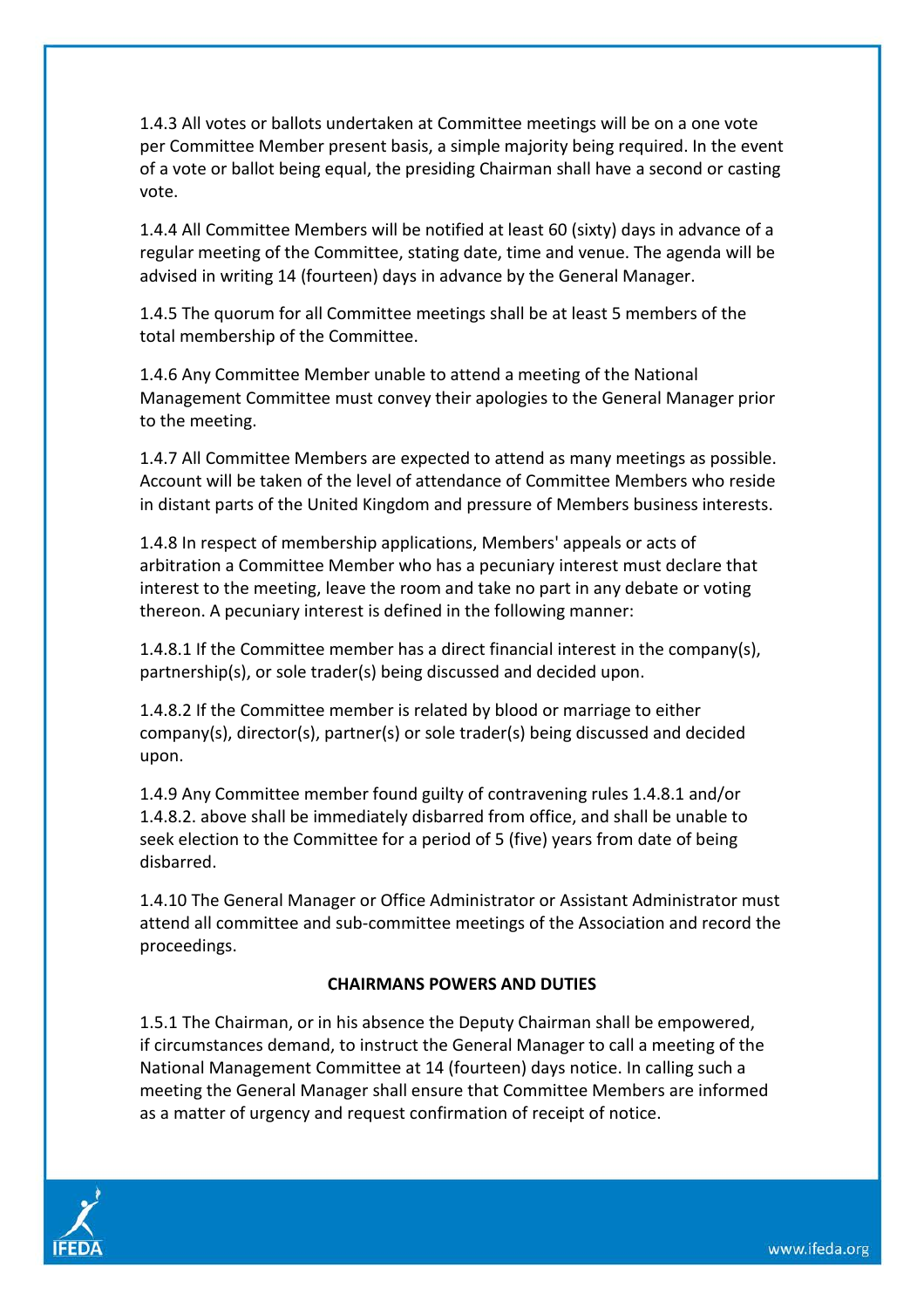1.4.3 All votes or ballots undertaken at Committee meetings will be on a one vote per Committee Member present basis, a simple majority being required. In the event of a vote or ballot being equal, the presiding Chairman shall have a second or casting vote.

1.4.4 All Committee Members will be notified at least 60 (sixty) days in advance of a regular meeting of the Committee, stating date, time and venue. The agenda will be advised in writing 14 (fourteen) days in advance by the General Manager.

1.4.5 The quorum for all Committee meetings shall be at least 5 members of the total membership of the Committee.

1.4.6 Any Committee Member unable to attend a meeting of the National Management Committee must convey their apologies to the General Manager prior to the meeting.

1.4.7 All Committee Members are expected to attend as many meetings as possible. Account will be taken of the level of attendance of Committee Members who reside in distant parts of the United Kingdom and pressure of Members business interests.

1.4.8 In respect of membership applications, Members' appeals or acts of arbitration a Committee Member who has a pecuniary interest must declare that interest to the meeting, leave the room and take no part in any debate or voting thereon. A pecuniary interest is defined in the following manner:

1.4.8.1 If the Committee member has a direct financial interest in the company(s), partnership(s), or sole trader(s) being discussed and decided upon.

1.4.8.2 If the Committee member is related by blood or marriage to either company(s), director(s), partner(s) or sole trader(s) being discussed and decided upon.

1.4.9 Any Committee member found guilty of contravening rules 1.4.8.1 and/or 1.4.8.2. above shall be immediately disbarred from office, and shall be unable to seek election to the Committee for a period of 5 (five) years from date of being disbarred.

1.4.10 The General Manager or Office Administrator or Assistant Administrator must attend all committee and sub-committee meetings of the Association and record the proceedings.

## **CHAIRMANS POWERS AND DUTIES**

1.5.1 The Chairman, or in his absence the Deputy Chairman shall be empowered, if circumstances demand, to instruct the General Manager to call a meeting of the National Management Committee at 14 (fourteen) days notice. In calling such a meeting the General Manager shall ensure that Committee Members are informed as a matter of urgency and request confirmation of receipt of notice.

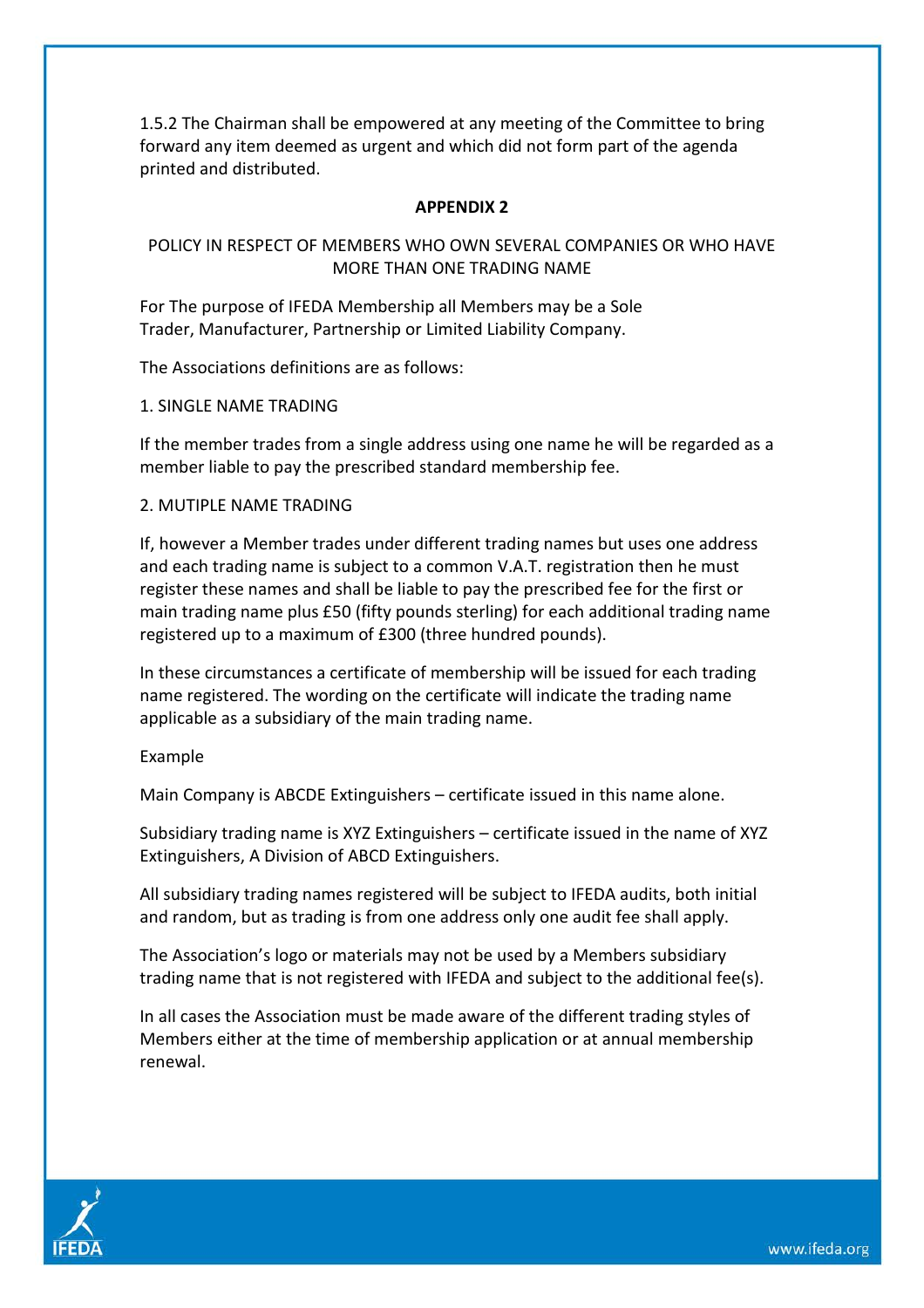1.5.2 The Chairman shall be empowered at any meeting of the Committee to bring forward any item deemed as urgent and which did not form part of the agenda printed and distributed.

#### **APPENDIX 2**

## POLICY IN RESPECT OF MEMBERS WHO OWN SEVERAL COMPANIES OR WHO HAVE MORE THAN ONE TRADING NAME

For The purpose of IFEDA Membership all Members may be a Sole Trader, Manufacturer, Partnership or Limited Liability Company.

The Associations definitions are as follows:

1. SINGLE NAME TRADING

If the member trades from a single address using one name he will be regarded as a member liable to pay the prescribed standard membership fee.

## 2. MUTIPLE NAME TRADING

If, however a Member trades under different trading names but uses one address and each trading name is subject to a common V.A.T. registration then he must register these names and shall be liable to pay the prescribed fee for the first or main trading name plus £50 (fifty pounds sterling) for each additional trading name registered up to a maximum of £300 (three hundred pounds).

In these circumstances a certificate of membership will be issued for each trading name registered. The wording on the certificate will indicate the trading name applicable as a subsidiary of the main trading name.

Example

Main Company is ABCDE Extinguishers – certificate issued in this name alone.

Subsidiary trading name is XYZ Extinguishers – certificate issued in the name of XYZ Extinguishers, A Division of ABCD Extinguishers.

All subsidiary trading names registered will be subject to IFEDA audits, both initial and random, but as trading is from one address only one audit fee shall apply.

The Association's logo or materials may not be used by a Members subsidiary trading name that is not registered with IFEDA and subject to the additional fee(s).

In all cases the Association must be made aware of the different trading styles of Members either at the time of membership application or at annual membership renewal.

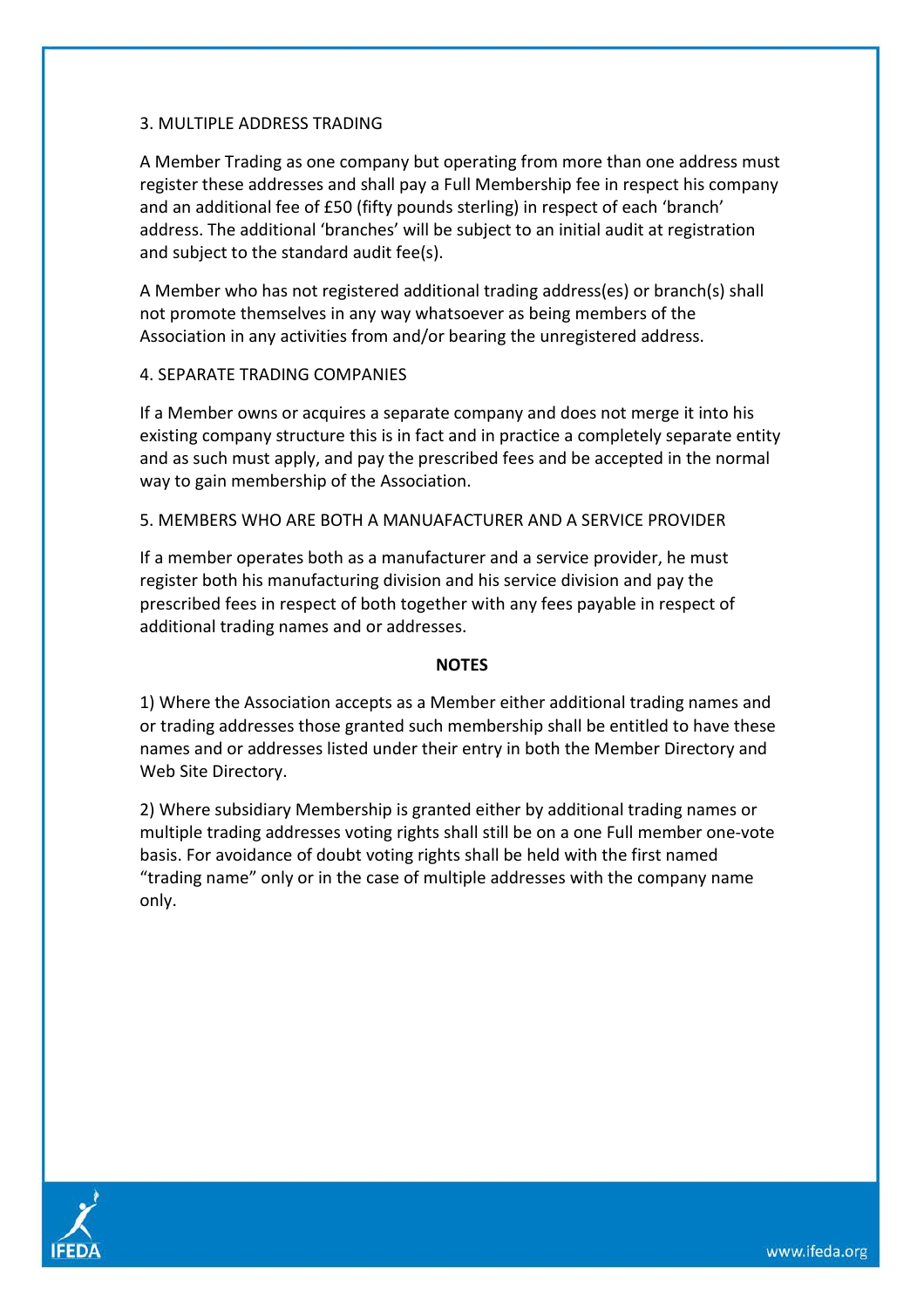## 3. MULTIPLE ADDRESS TRADING

A Member Trading as one company but operating from more than one address must register these addresses and shall pay a Full Membership fee in respect his company and an additional fee of £50 (fifty pounds sterling) in respect of each 'branch' address. The additional 'branches' will be subject to an initial audit at registration and subject to the standard audit fee(s).

A Member who has not registered additional trading address(es) or branch(s) shall not promote themselves in any way whatsoever as being members of the Association in any activities from and/or bearing the unregistered address.

## 4. SEPARATE TRADING COMPANIES

If a Member owns or acquires a separate company and does not merge it into his existing company structure this is in fact and in practice a completely separate entity and as such must apply, and pay the prescribed fees and be accepted in the normal way to gain membership of the Association.

## 5. MEMBERS WHO ARE BOTH A MANUAFACTURER AND A SERVICE PROVIDER

If a member operates both as a manufacturer and a service provider, he must register both his manufacturing division and his service division and pay the prescribed fees in respect of both together with any fees payable in respect of additional trading names and or addresses.

## **NOTES**

1) Where the Association accepts as a Member either additional trading names and or trading addresses those granted such membership shall be entitled to have these names and or addresses listed under their entry in both the Member Directory and Web Site Directory.

2) Where subsidiary Membership is granted either by additional trading names or multiple trading addresses voting rights shall still be on a one Full member one-vote basis. For avoidance of doubt voting rights shall be held with the first named "trading name" only or in the case of multiple addresses with the company name only.

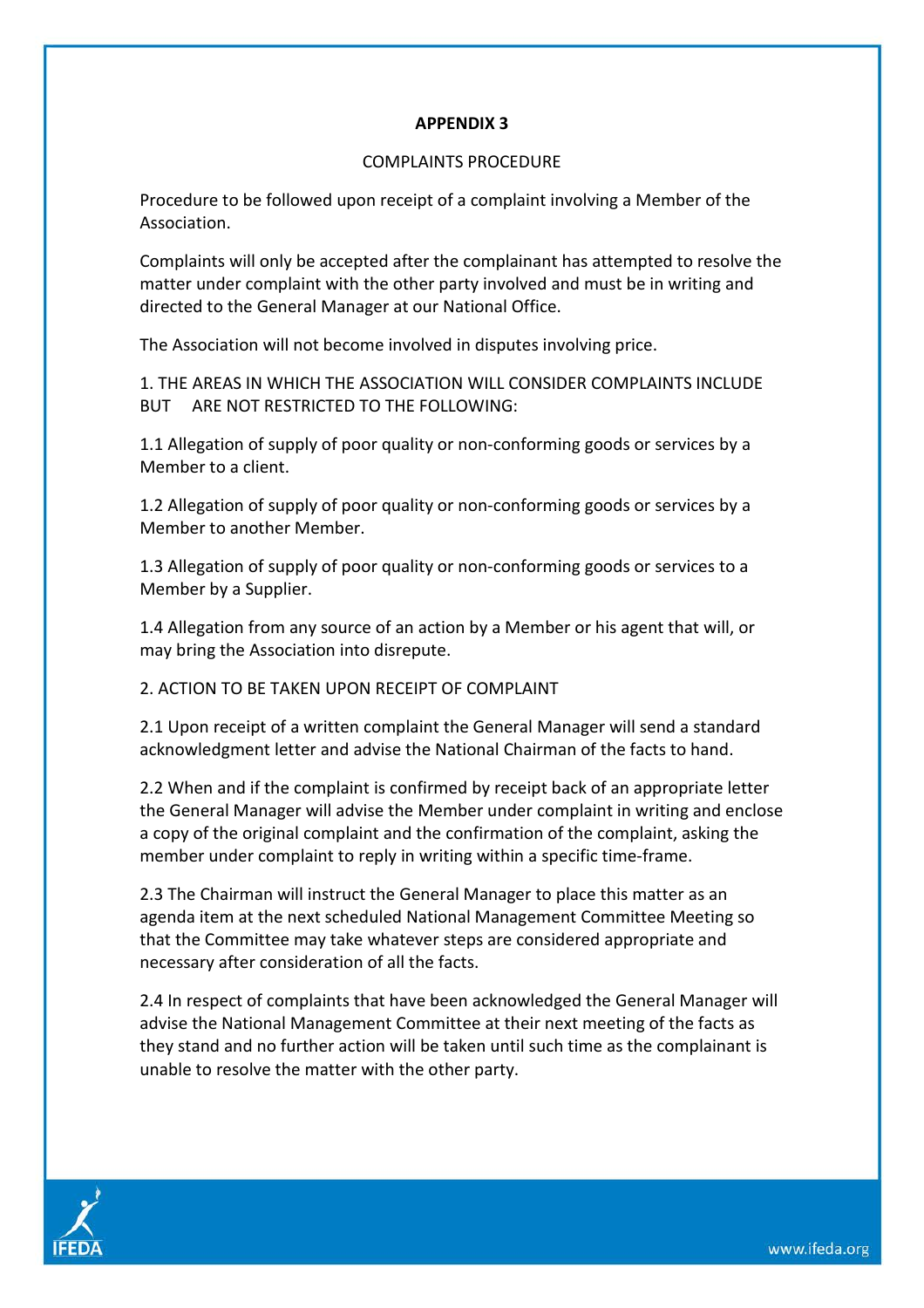## **APPENDIX 3**

## COMPLAINTS PROCEDURE

Procedure to be followed upon receipt of a complaint involving a Member of the Association.

Complaints will only be accepted after the complainant has attempted to resolve the matter under complaint with the other party involved and must be in writing and directed to the General Manager at our National Office.

The Association will not become involved in disputes involving price.

1. THE AREAS IN WHICH THE ASSOCIATION WILL CONSIDER COMPLAINTS INCLUDE BUT ARE NOT RESTRICTED TO THE FOLLOWING:

1.1 Allegation of supply of poor quality or non-conforming goods or services by a Member to a client.

1.2 Allegation of supply of poor quality or non-conforming goods or services by a Member to another Member.

1.3 Allegation of supply of poor quality or non-conforming goods or services to a Member by a Supplier.

1.4 Allegation from any source of an action by a Member or his agent that will, or may bring the Association into disrepute.

2. ACTION TO BE TAKEN UPON RECEIPT OF COMPLAINT

2.1 Upon receipt of a written complaint the General Manager will send a standard acknowledgment letter and advise the National Chairman of the facts to hand.

2.2 When and if the complaint is confirmed by receipt back of an appropriate letter the General Manager will advise the Member under complaint in writing and enclose a copy of the original complaint and the confirmation of the complaint, asking the member under complaint to reply in writing within a specific time-frame.

2.3 The Chairman will instruct the General Manager to place this matter as an agenda item at the next scheduled National Management Committee Meeting so that the Committee may take whatever steps are considered appropriate and necessary after consideration of all the facts.

2.4 In respect of complaints that have been acknowledged the General Manager will advise the National Management Committee at their next meeting of the facts as they stand and no further action will be taken until such time as the complainant is unable to resolve the matter with the other party.

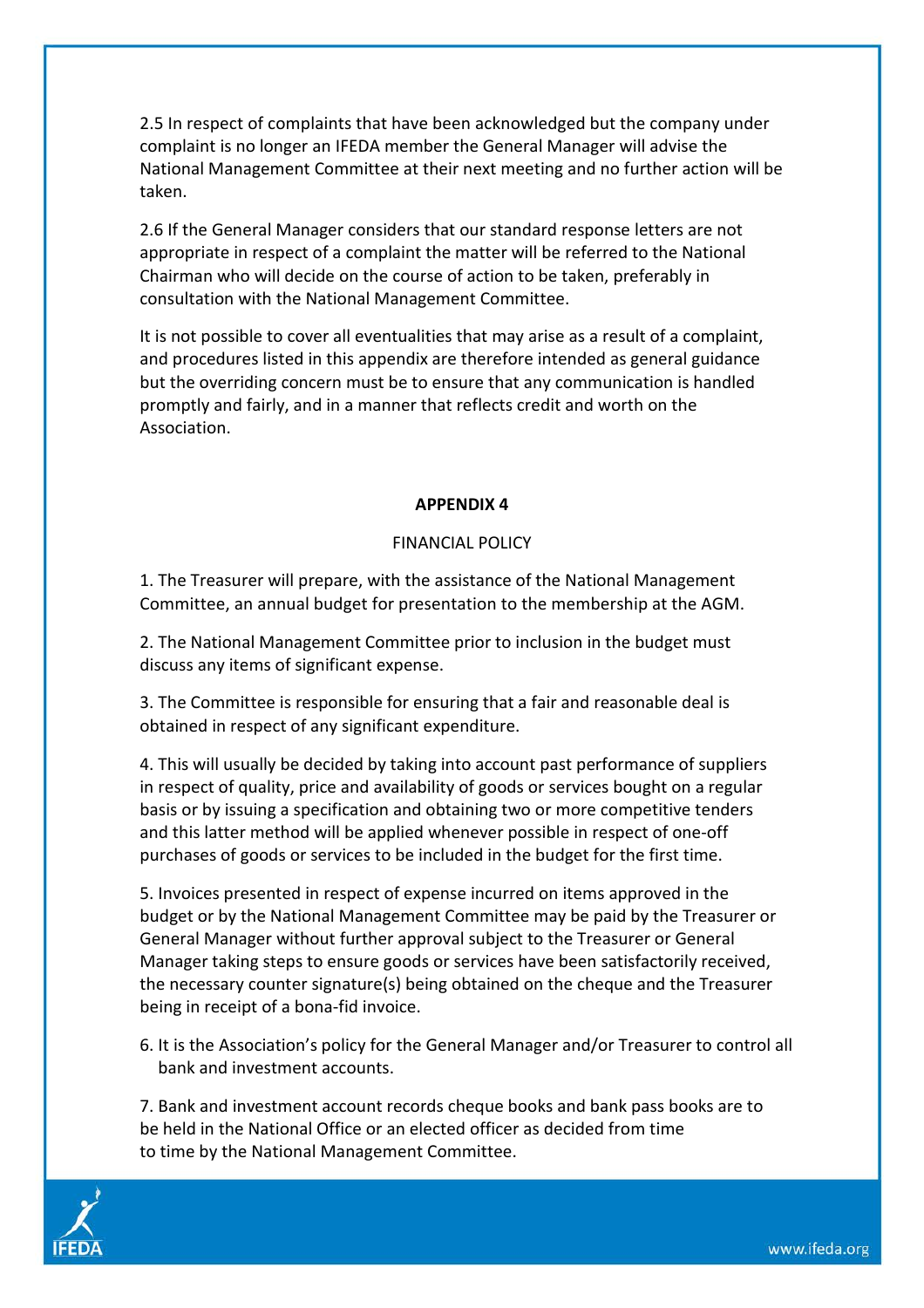2.5 In respect of complaints that have been acknowledged but the company under complaint is no longer an IFEDA member the General Manager will advise the National Management Committee at their next meeting and no further action will be taken.

2.6 If the General Manager considers that our standard response letters are not appropriate in respect of a complaint the matter will be referred to the National Chairman who will decide on the course of action to be taken, preferably in consultation with the National Management Committee.

It is not possible to cover all eventualities that may arise as a result of a complaint, and procedures listed in this appendix are therefore intended as general guidance but the overriding concern must be to ensure that any communication is handled promptly and fairly, and in a manner that reflects credit and worth on the Association.

#### **APPENDIX 4**

#### FINANCIAL POLICY

1. The Treasurer will prepare, with the assistance of the National Management Committee, an annual budget for presentation to the membership at the AGM.

2. The National Management Committee prior to inclusion in the budget must discuss any items of significant expense.

3. The Committee is responsible for ensuring that a fair and reasonable deal is obtained in respect of any significant expenditure.

4. This will usually be decided by taking into account past performance of suppliers in respect of quality, price and availability of goods or services bought on a regular basis or by issuing a specification and obtaining two or more competitive tenders and this latter method will be applied whenever possible in respect of one-off purchases of goods or services to be included in the budget for the first time.

5. Invoices presented in respect of expense incurred on items approved in the budget or by the National Management Committee may be paid by the Treasurer or General Manager without further approval subject to the Treasurer or General Manager taking steps to ensure goods or services have been satisfactorily received, the necessary counter signature(s) being obtained on the cheque and the Treasurer being in receipt of a bona-fid invoice.

6. It is the Association's policy for the General Manager and/or Treasurer to control all bank and investment accounts.

7. Bank and investment account records cheque books and bank pass books are to be held in the National Office or an elected officer as decided from time to time by the National Management Committee.

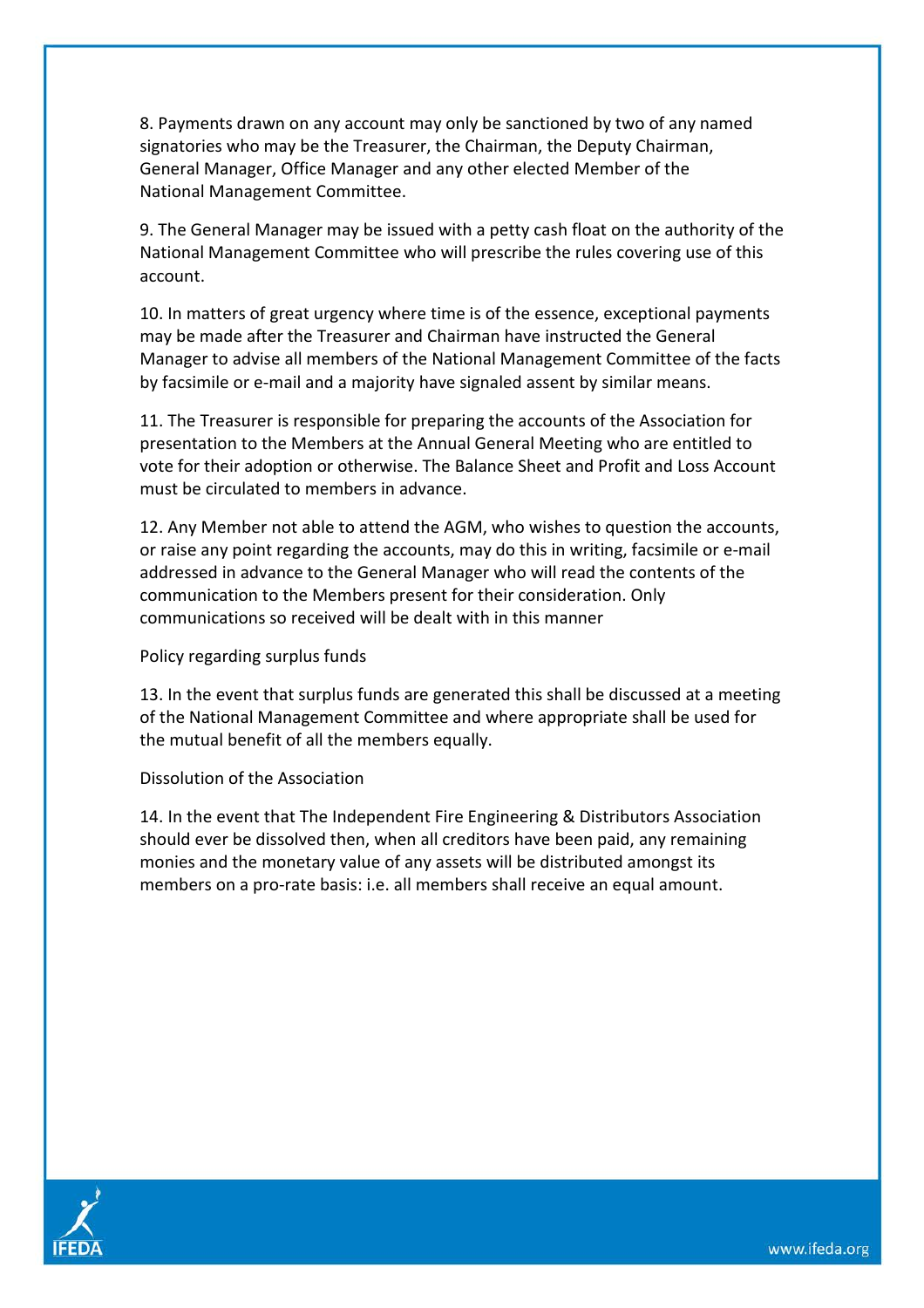8. Payments drawn on any account may only be sanctioned by two of any named signatories who may be the Treasurer, the Chairman, the Deputy Chairman, General Manager, Office Manager and any other elected Member of the National Management Committee.

9. The General Manager may be issued with a petty cash float on the authority of the National Management Committee who will prescribe the rules covering use of this account.

10. In matters of great urgency where time is of the essence, exceptional payments may be made after the Treasurer and Chairman have instructed the General Manager to advise all members of the National Management Committee of the facts by facsimile or e-mail and a majority have signaled assent by similar means.

11. The Treasurer is responsible for preparing the accounts of the Association for presentation to the Members at the Annual General Meeting who are entitled to vote for their adoption or otherwise. The Balance Sheet and Profit and Loss Account must be circulated to members in advance.

12. Any Member not able to attend the AGM, who wishes to question the accounts, or raise any point regarding the accounts, may do this in writing, facsimile or e-mail addressed in advance to the General Manager who will read the contents of the communication to the Members present for their consideration. Only communications so received will be dealt with in this manner

Policy regarding surplus funds

13. In the event that surplus funds are generated this shall be discussed at a meeting of the National Management Committee and where appropriate shall be used for the mutual benefit of all the members equally.

Dissolution of the Association

14. In the event that The Independent Fire Engineering & Distributors Association should ever be dissolved then, when all creditors have been paid, any remaining monies and the monetary value of any assets will be distributed amongst its members on a pro-rate basis: i.e. all members shall receive an equal amount.